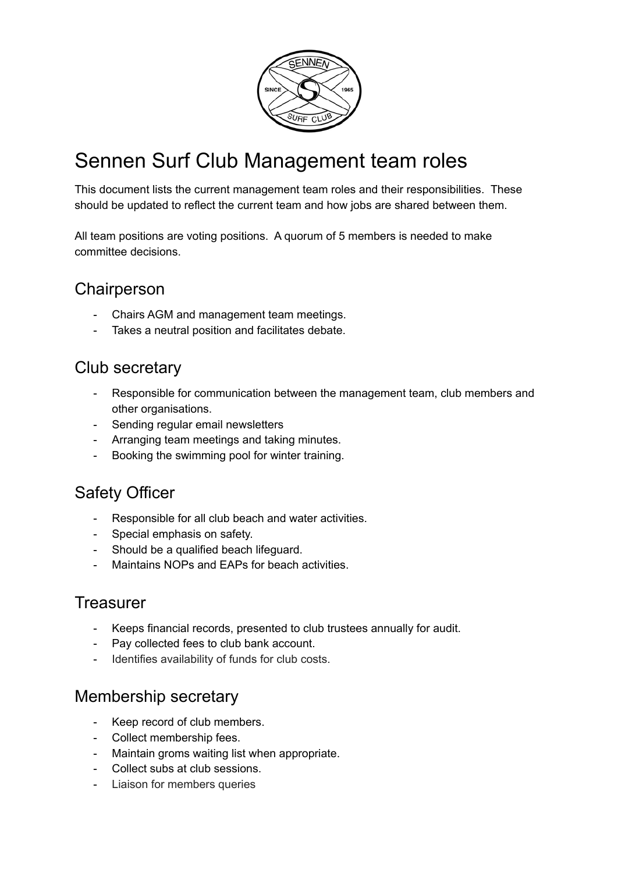

# Sennen Surf Club Management team roles

This document lists the current management team roles and their responsibilities. These should be updated to reflect the current team and how jobs are shared between them.

All team positions are voting positions. A quorum of 5 members is needed to make committee decisions.

#### **Chairperson**

- Chairs AGM and management team meetings.
- Takes a neutral position and facilitates debate.

#### Club secretary

- Responsible for communication between the management team, club members and other organisations.
- Sending regular email newsletters
- Arranging team meetings and taking minutes.
- Booking the swimming pool for winter training.

## Safety Officer

- Responsible for all club beach and water activities.
- Special emphasis on safety.
- Should be a qualified beach lifeguard.
- Maintains NOPs and EAPs for beach activities.

#### **Treasurer**

- Keeps financial records, presented to club trustees annually for audit.
- Pay collected fees to club bank account.
- Identifies availability of funds for club costs.

#### Membership secretary

- Keep record of club members.
- Collect membership fees.
- Maintain groms waiting list when appropriate.
- Collect subs at club sessions.
- Liaison for members queries